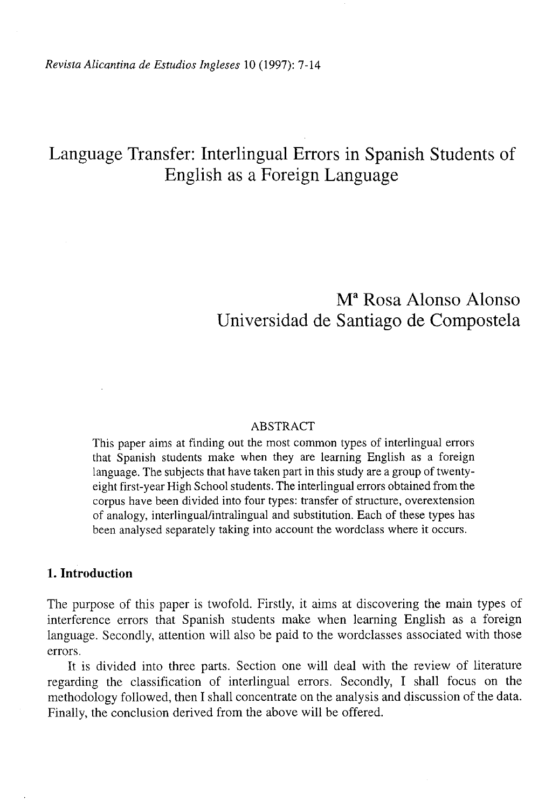*Revista Alicantina de Estudios Ingleses* 10 (1997): 7-14

# Language Transfer: Interlingual Errors in Spanish Students of English as a Foreign Language

# M a Rosa Alonso Alonso Universidad de Santiago de Compostela

### ABSTRACT

This paper aims at finding out the most common types of interlingual errors that Spanish students make when they are learning English as a foreign language. The subjects that have taken part in this study are a group of twentyeight first-year High School students. The interlingual errors obtained from the corpus have been divided into four types: transfer of structure, overextension of analogy, interlingual/intralingual and substitution. Each of these types has been analysed separately taking into account the wordclass where it occurs.

## **1. Introduction**

The purpose of this paper is twofold. Firstly, it aims at discovering the main types of interference errors that Spanish students make when learning English as a foreign language. Secondly, attention will also be paid to the wordclasses associated with those errors.

It is divided into three parts. Section one will deal with the review of literature regarding the classification of interlingual errors. Secondly, I shall focus on the methodology followed, then I shall concentrate on the analysis and discussion of the data. Finally, the conclusion derived from the above will be offered.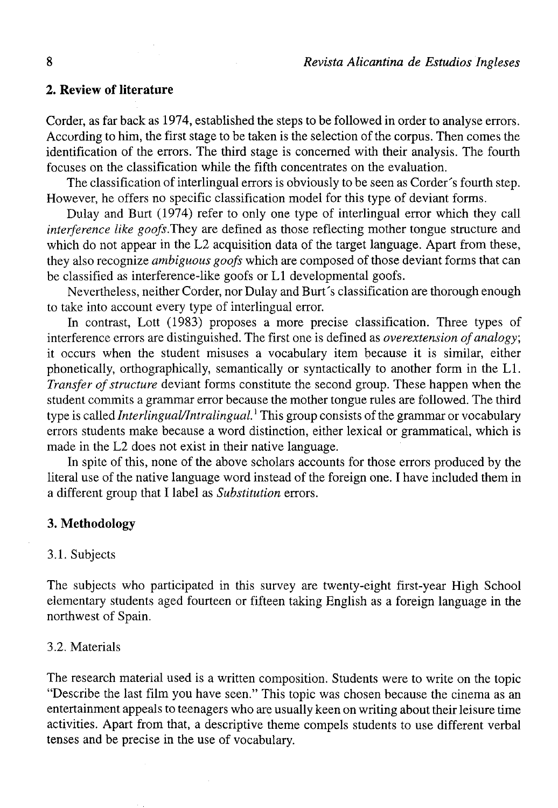## *2.* **Review of literature**

Corder, as far back as 1974, established the steps to be followed in order to analyse errors. Accurding to him, the first stage to be taken is the selection of the corpus. Then comes the identification of the errors. The third stage is concerned with their analysis. The fourth focuses on the classification while the fifth concentrates on the evaluation.

The classification of interlingual errors is obviously to be seen as Corder 's fourth step. However, he offers no specific classification model for this type of deviant forms.

Dulay and Burt (1974) refer to only one type of interlingual error which they cali *interference like goofs*. They are defined as those reflecting mother tongue structure and which do not appear in the L2 acquisition data of the target language. Apart from these, they also recognize *ambiguous goofs* which are composed of those deviant forms that can be classified as interference-like goofs or Ll developmental goofs.

Nevertheless, neither Corder, ñor Dulay and Burt's classification are thorough enough to take into account every type of interlingual error.

In contrast, Lott (1983) proposes a more precise classification. Three types of interference errors are distinguished. The first one is defined as *overextension ofanalogy;*  it occurs when the student misuses a vocabulary item because it is similar, either phonetically, orthographically, semantically or syntactically to another form in the Ll. *Transfer of structure* deviant forms constitute the second group. These happen when the student commits a grammar error because the mother tongue rules are followed. The third type is called *Interlingual/Intralingual.*' This group consists of the grammar or vocabulary errors students make because a word distinction, either lexical or grammatical, which is made in the L2 does not exist in their native language.

In spite of this, none of the above scholars accounts for those errors produced by the literal use of the native language word instead of the foreign one. I have included them in a different group that I label as *Substitution* errors.

## **3. Methodology**

#### 3.1. Subjects

The subjects who participated in this survey are twenty-eight first-year High School elementary students aged fourteen or fifteen taking English as a foreign language in the northwest of Spain.

## 3.2. Materials

The research material used is a written composition. Students were to write on the topic "Describe the last film you have seen." This topic was chosen because the cinema as an entertainment appeals to teenagers who are usually keen on writing about their leisure time activities. Apart from that, a descriptive theme compels students to use different verbal tenses and be precise in the use of vocabulary.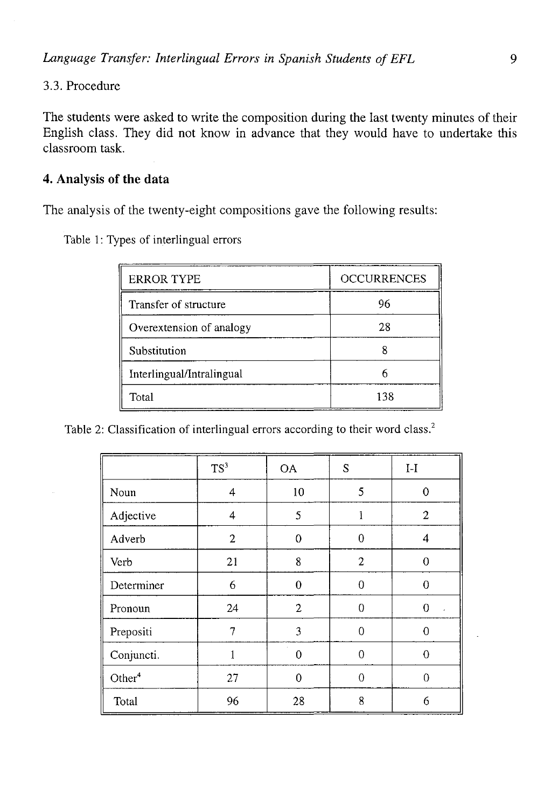# 3.3. Procedure

The students were asked to write the composition during the last twenty minutes of their English class. They did not know in advance that they would have to undertake this classroom task.

# **4. Analysis of the data**

The analysis of the twenty-eight compositions gave the following results:

Table 1: Types of interlingual errors

| <b>ERROR TYPE</b>         | <b>OCCURRENCES</b> |  |
|---------------------------|--------------------|--|
| Transfer of structure     | 96                 |  |
| Overextension of analogy  | 28                 |  |
| Substitution              |                    |  |
| Interlingual/Intralingual |                    |  |
| Total                     | 138                |  |

Table 2: Classification of interlingual errors according to their word class.<sup>2</sup>

|                    | TS <sup>3</sup> | <b>OA</b>    | S              | $I-I$                   |
|--------------------|-----------------|--------------|----------------|-------------------------|
| Noun               | 4               | 10           | 5              | $\bf{0}$                |
| Adjective          | 4               | 5            | 1              | 2                       |
| Adverb             | 2               | $\mathbf 0$  | $\overline{0}$ | 4                       |
| Verb               | 21              | 8            | $\overline{c}$ | $\theta$                |
| Determiner         | 6               | $\theta$     | 0              | 0                       |
| Pronoun            | 24              | $\mathbf{2}$ | $\overline{0}$ | $\mathbf 0$<br>$\alpha$ |
| Prepositi          | 7               | 3            | 0              | $\overline{0}$          |
| Conjuncti.         |                 | $\Omega$     | $\theta$       | 0                       |
| Other <sup>4</sup> | 27              | $\theta$     | 0              | 0                       |
| Total              | 96              | 28           | 8              | 6                       |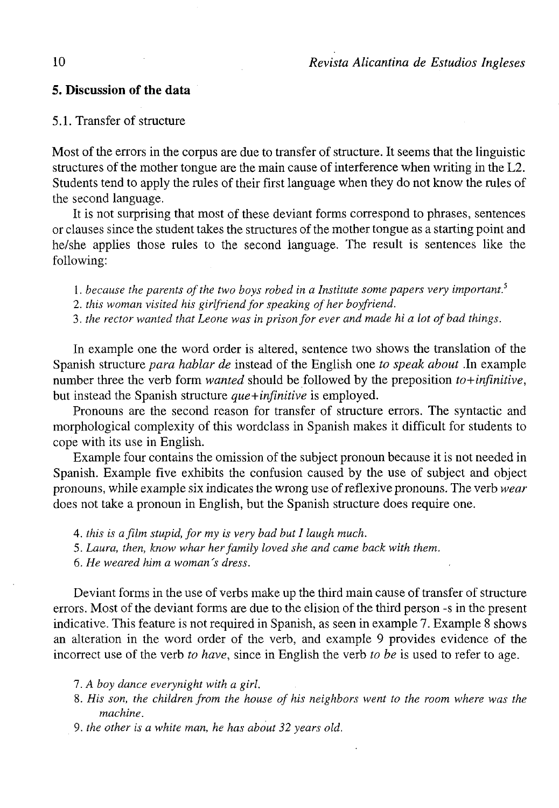### **5. Discussion of the data**

## 5.1. Transfer of structure

Most of the errors in the corpus are due to transfer of structure. It seems that the linguistic structures of the mother tongue are the main cause of interference when writing in the L2. Students tend to apply the rules of their first language when they do not know the rules of the second language.

It is not surprising that most of these deviant forms correspond to phrases, sentences or clauses since the student takes the structures of the mother tongue as a starting point and he/she applies those rules to the second language. The result is sentences like the following:

1. because the parents of the two boys robed in a Institute some papers very important.<sup>5</sup>

2. this woman visited his girlfriend for speaking of her boyfriend.

3. *the rector wanted that Leone was in prisonfor ever and made hi a lot ofbad things.* 

In example one the word order is altered, sentence two shows the translation of the Spanish structure *para hablar de* instead of the English one *to speak about* .In example number three the verb form *wanted* should be followed by the preposition *to+infinitive,*  but instead the Spanish structure *que+infinitive* is employed.

Pronouns are the second reason for transfer of structure errors. The syntactic and morphological complexity of this wordclass in Spanish makes it difficult for students to cope with its use in English.

Example four contains the omission of the subject pronoun because it is not needed in Spanish. Example five exhibits the confusión caused by the use of subject and object pronouns, while example six indicates the wrong use of reflexive pronouns. The verb *wear*  does not take a pronoun in English, but the Spanish structure does require one.

4. *this is a film stupid, for my is very bad but I laugh much.* 

*5. Laura, then, know whar herfamily loved she and carne back with them.* 

6. *He weared him a woman 's dress.* 

Deviant forms in the use of verbs make up the third main cause of transfer of structure errors. Most of the deviant forms are due to the elisión of the third person -s in the present indicative. This feature is not required in Spanish, as seen in example 7. Example 8 shows an alteration in the word order of the verb, and example 9 provides evidence of the incorrect use of the verb *to have,* since in English the verb *to be* is used to refer to age.

7. *A boy dance everynight with a girl.* 

- 8. *His son, the children from the house of his neighbors went to the room where was the machine.*
- *9. the other is a white man, he has about 32 years oíd.*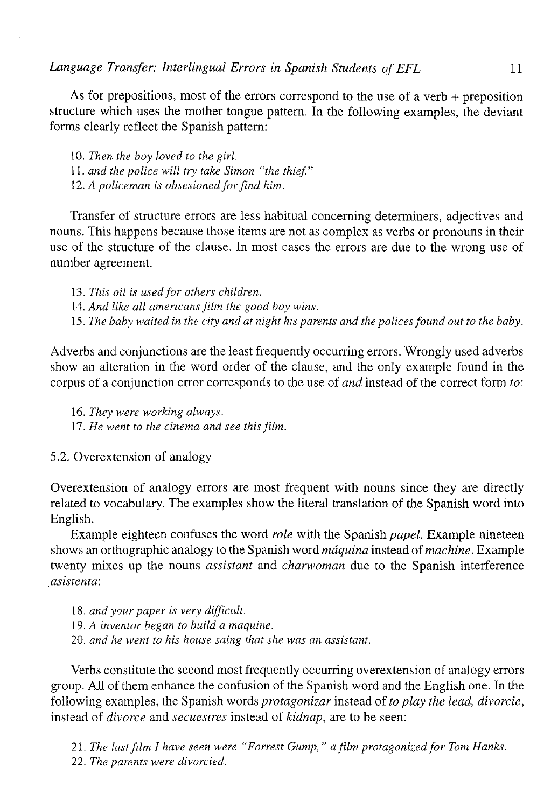*Language Transferí Interlingual Errors in Spanish Students of EFL* 11

As for prepositions, most of the errors correspond to the use of a verb  $+$  preposition structure which uses the mother tongue pattern. In the following examples, the deviant forms clearly reflect the Spanish pattern:

10. *Then the boy loved to the girl.*  11. *and the pólice will try take Simón "the thief."*  12. *A policeman is obsesioned for find him.* 

Transfer of structure errors are less habitual concerning determiners, adjectives and nouns. This happens because those items are not as complex as verbs or pronouns in their use of the structure of the clause. In most cases the errors are due to the wrong use of number agreement.

13. This oil is used for others children. 14. *And like all americans film the good boy wins.* 

15. *The babywaited in the city and at night his parents and the pólices found out to the baby.* 

Adverbs and conjunctions are the least frequently occurring errors. Wrongly used adverbs show an alteration in the word order of the clause, and the only example found in the corpus of a conjunction error corresponds to the use of *and* instead of the correct form *to:* 

16. *They were working always.*  17. *He went to the cinema and see this film.* 

5.2. Overextension of analogy

Overextension of analogy errors are most frequent with nouns since they are directly related to vocabulary. The examples show the literal translation of the Spanish word into English.

Example eighteen confuses the word *role* with the Spanish *papel.* Example nineteen shows an orthographic analogy to the Spanish word *máquina* instead *oí machine.* Example twenty mixes up the nouns *assistant* and *charwoman* due to the Spanish interference *asistenta:* 

18. *and your paper is very dijficult.*  19. *A inventor began to build a maquine.*  20. *and he went to his house saing that she was an assistant.* 

Verbs constitute the second most frequently occurring overextension of analogy errors group. All of them enhance the confusión of the Spanish word and the English one. In the following examples, the Spanish words *protagonizar* instead of *to play the lead, divorcie,*  instead of *divorce* and *secuestres* instead of *kidnap,* are to be seen:

21. *The lastfilm I have seen were "Forrest Gump, " a film protagonized for Tom Hanks.*  22. *The parents were divorcied.*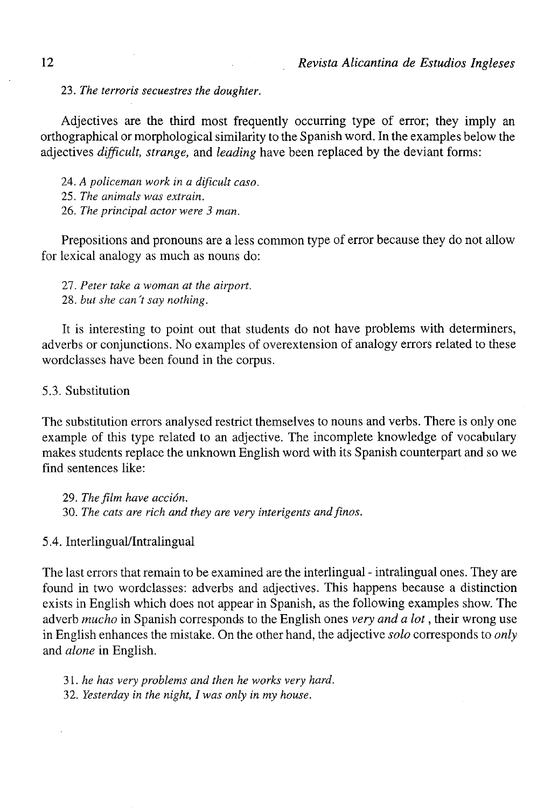**23.** *The terroris secuestres the doughter.* 

Adjectives are the third most frequently occurring type of error; they imply an orthographical or morphological similarity to the Spanish word. In the examples below the adjectives *difficult, strange,* and *leading* have been replaced by the deviant forms:

24. *A policeman work in a dificult caso.*  25. *The animáis was extrain.*  26. *The principal actor were 3 man.* 

Prepositions and pronouns are a less common type of error because they do not allow for lexical analogy as much as nouns do:

27. *Peter take a woman at the airport.*  28. *but she can't say nothing.* 

It is interesting to point out that students do not have problems with determiners, adverbs or conjunctions. No examples of overextension of analogy errors related to these wordclasses have been found in the corpus.

5.3. Substitution

The substitution errors analysed restrict themselves to nouns and verbs. There is only one example of this type related to an adjective. The incomplete knowledge of vocabulary makes students replace the unknown English word with its Spanish counterpart and so we find sentences like:

29. *The film have acción.*  30. *The cats are rich and they are very interigents and finos.* 

5.4. Interlingual/Intralingual

The last errors that remain to be examined are the interlingual - intralingual ones. They are found in two wordclasses: adverbs and adjectives. This happens because a distinction exists in English which does not appear in Spanish, as the following examples show. The adverb *mucho* in Spanish corresponds to the English ones *very and a lot,* their wrong use in English enhances the mistake. On the other hand, the adjective *solo* corresponds to *only*  and *alone* in English.

31. *he has very problems and then he works very hard.*  32. *Yesterday in the night, I was only in my house.*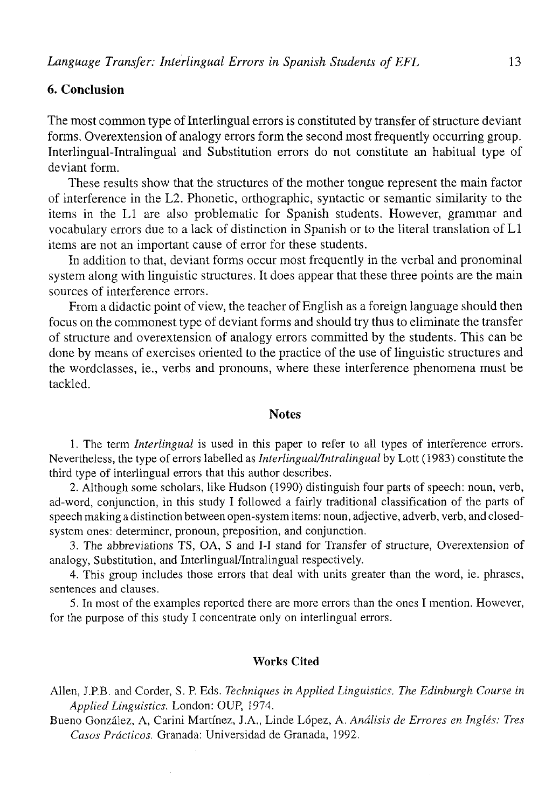# **6. Conclusión**

The most common type of Interlingual errors is constituted by transfer of structure deviant forms. Overextension of analogy errors form the second most frequently occurring group. Interlingual-Intralingual and Substitution errors do not constitute an habitual type of deviant form.

These results show that the structures of the mother tongue represent the main factor of interference in the L2. Phonetic, orthographic, syntactic or semantic similarity to the items in the Ll are also problematic for Spanish students. However, grammar and vocabulary errors due to a lack of distinction in Spanish or to the literal translation of Ll items are not an important cause of error for these students.

In addition to that, deviant forms occur most frequently in the verbal and pronominal system along with linguistic structures. It does appear that these three points are the main sources of interference errors.

From a didactic point of view, the teacher of English as a foreign language should then focus on the commonest type of deviant forms and should try thus to eliminate the transfer of structure and overextension of analogy errors committed by the students. This can be done by means of exercises oriented to the practice of the use of linguistic structures and the wordclasses, ie., verbs and pronouns, where these interference phenomena must be tackled.

# **Notes**

1. The term *Interlingual* is used in this paper to refer to all types of interference errors. Nevertheless, the type of errors labelled as *Interlingual/lntralingual* by Lott (1983) constitute the third type of interlingual errors that this author describes.

2. Although some scholars, like Hudson (1990) distinguish four parts of speech: noun, verb, ad-word, conjunction, in this study I followed a fairly traditional classification of the parts of speech making a distinction between open-system items: noun, adjective, adverb, verb, and closedsystem ones: determiner, pronoun, preposition, and conjunction.

3. The abbreviations TS, OA, S and I-I stand for Transfer of structure, Overextension of analogy, Substitution, and Interlingual/lntralingual respectively.

4. This group includes those errors that deal with units greater than the word, ie. phrases, sentences and clauses.

5. In most of the examples reported there are more errors than the ones I mention. However, for the purpose of this study I concentrate only on interlingual errors.

#### **Works Cited**

Alien, J.P.B. and Corder, S. P. Eds. *Techniques in Applied Linguistics. The Edinburgh Course in Applied Linguistics.* London: OUP, 1974.

Bueno González, A, Carini Martínez, J.A., Linde López, A. *Análisis de Errores en Inglés: Tres Casos Prácticos.* Granada: Universidad de Granada, 1992.